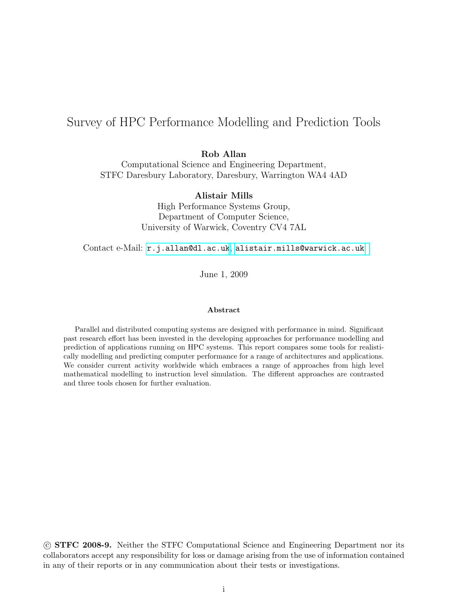# Survey of HPC Performance Modelling and Prediction Tools

Rob Allan

Computational Science and Engineering Department, STFC Daresbury Laboratory, Daresbury, Warrington WA4 4AD

Alistair Mills

High Performance Systems Group, Department of Computer Science, University of Warwick, Coventry CV4 7AL

Contact e-Mail: <r.j.allan@dl.ac.uk>, [alistair.mills@warwick.ac.uk](mailto:r.j.allan@dl.ac.uk)

June 1, 2009

#### Abstract

Parallel and distributed computing systems are designed with performance in mind. Significant past research effort has been invested in the developing approaches for performance modelling and prediction of applications running on HPC systems. This report compares some tools for realistically modelling and predicting computer performance for a range of architectures and applications. We consider current activity worldwide which embraces a range of approaches from high level mathematical modelling to instruction level simulation. The different approaches are contrasted and three tools chosen for further evaluation.

 c STFC 2008-9. Neither the STFC Computational Science and Engineering Department nor its collaborators accept any responsibility for loss or damage arising from the use of information contained in any of their reports or in any communication about their tests or investigations.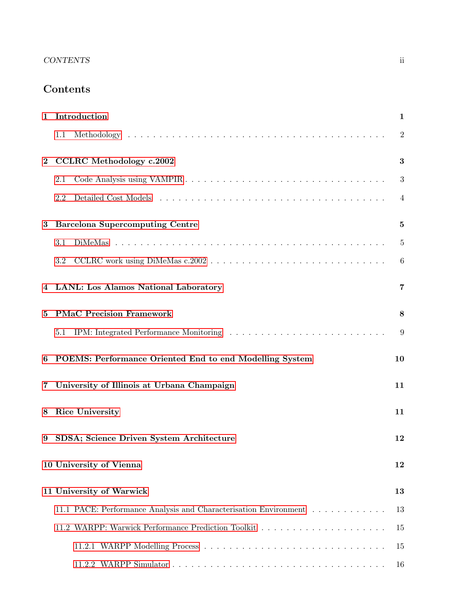# CONTENTS ii

# Contents

|          | 1 Introduction<br>$\mathbf{1}$                                   |                |  |  |  |
|----------|------------------------------------------------------------------|----------------|--|--|--|
|          | 1.1                                                              | $\overline{2}$ |  |  |  |
| $\bf{2}$ | <b>CCLRC</b> Methodology c.2002<br>3                             |                |  |  |  |
|          | 2.1                                                              | 3              |  |  |  |
|          | $2.2\,$                                                          | $\overline{4}$ |  |  |  |
| 3        | <b>Barcelona Supercomputing Centre</b>                           |                |  |  |  |
|          | 3.1                                                              | $\overline{5}$ |  |  |  |
|          | 3.2                                                              | 6              |  |  |  |
|          | 4 LANL: Los Alamos National Laboratory                           |                |  |  |  |
| 5        | <b>PMaC Precision Framework</b>                                  |                |  |  |  |
|          | 5.1                                                              | 9              |  |  |  |
| 6        | POEMS: Performance Oriented End to end Modelling System<br>10    |                |  |  |  |
|          | 7 University of Illinois at Urbana Champaign<br>11               |                |  |  |  |
| 8        | Rice University<br>11                                            |                |  |  |  |
|          | 9 SDSA; Science Driven System Architecture<br>12                 |                |  |  |  |
|          | 10 University of Vienna<br>12                                    |                |  |  |  |
|          | 11 University of Warwick                                         | 13             |  |  |  |
|          | 11.1 PACE: Performance Analysis and Characterisation Environment | 13             |  |  |  |
|          |                                                                  | 15             |  |  |  |
|          |                                                                  | 15             |  |  |  |
|          |                                                                  | 16             |  |  |  |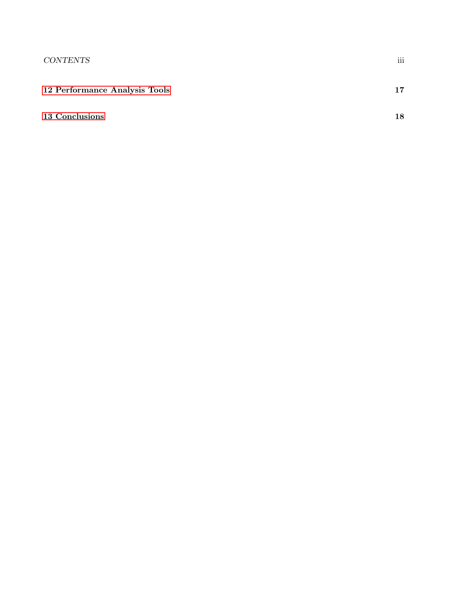|  | 12 Performance Analysis Tools |  |
|--|-------------------------------|--|
|--|-------------------------------|--|

## [13 Conclusions](#page-20-0) 18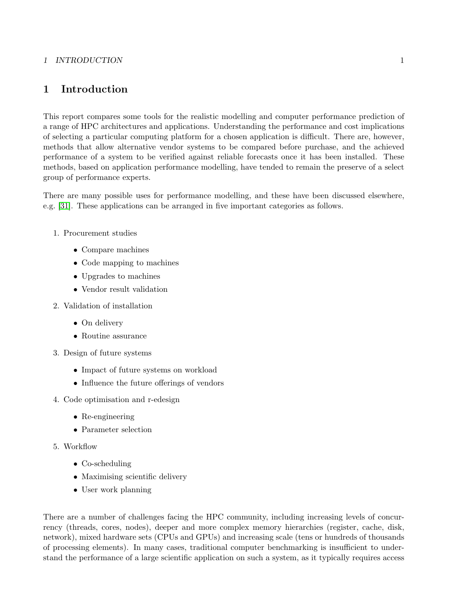### 1 INTRODUCTION 1

# <span id="page-3-0"></span>1 Introduction

This report compares some tools for the realistic modelling and computer performance prediction of a range of HPC architectures and applications. Understanding the performance and cost implications of selecting a particular computing platform for a chosen application is difficult. There are, however, methods that allow alternative vendor systems to be compared before purchase, and the achieved performance of a system to be verified against reliable forecasts once it has been installed. These methods, based on application performance modelling, have tended to remain the preserve of a select group of performance experts.

There are many possible uses for performance modelling, and these have been discussed elsewhere, e.g. [\[31\]](#page-22-0). These applications can be arranged in five important categories as follows.

- 1. Procurement studies
	- Compare machines
	- Code mapping to machines
	- Upgrades to machines
	- Vendor result validation
- 2. Validation of installation
	- On delivery
	- Routine assurance
- 3. Design of future systems
	- Impact of future systems on workload
	- Influence the future offerings of vendors
- 4. Code optimisation and r-edesign
	- Re-engineering
	- Parameter selection
- 5. Workflow
	- Co-scheduling
	- Maximising scientific delivery
	- User work planning

There are a number of challenges facing the HPC community, including increasing levels of concurrency (threads, cores, nodes), deeper and more complex memory hierarchies (register, cache, disk, network), mixed hardware sets (CPUs and GPUs) and increasing scale (tens or hundreds of thousands of processing elements). In many cases, traditional computer benchmarking is insufficient to understand the performance of a large scientific application on such a system, as it typically requires access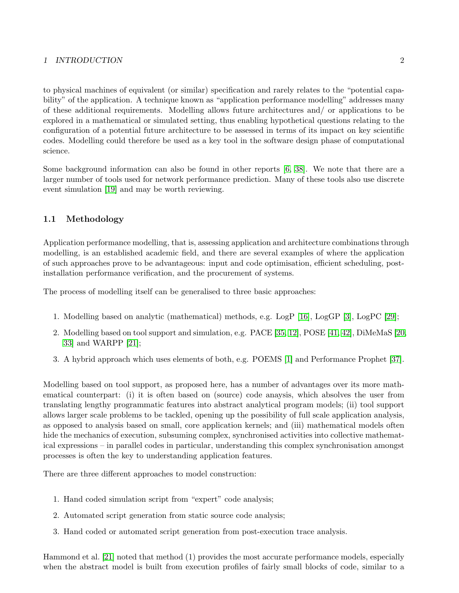#### 1 INTRODUCTION 2

to physical machines of equivalent (or similar) specification and rarely relates to the "potential capability" of the application. A technique known as "application performance modelling" addresses many of these additional requirements. Modelling allows future architectures and/ or applications to be explored in a mathematical or simulated setting, thus enabling hypothetical questions relating to the configuration of a potential future architecture to be assessed in terms of its impact on key scientific codes. Modelling could therefore be used as a key tool in the software design phase of computational science.

Some background information can also be found in other reports [\[6,](#page-20-1) [38\]](#page-22-1). We note that there are a larger number of tools used for network performance prediction. Many of these tools also use discrete event simulation [\[19\]](#page-21-0) and may be worth reviewing.

### <span id="page-4-0"></span>1.1 Methodology

Application performance modelling, that is, assessing application and architecture combinations through modelling, is an established academic field, and there are several examples of where the application of such approaches prove to be advantageous: input and code optimisation, efficient scheduling, postinstallation performance verification, and the procurement of systems.

The process of modelling itself can be generalised to three basic approaches:

- 1. Modelling based on analytic (mathematical) methods, e.g. LogP [\[16\]](#page-21-1), LogGP [\[3\]](#page-20-2), LogPC [\[29\]](#page-22-2);
- 2. Modelling based on tool support and simulation, e.g. PACE [\[35,](#page-22-3) [12\]](#page-21-2), POSE [\[41,](#page-23-0) [42\]](#page-23-1), DiMeMaS [\[20,](#page-21-3) [33\]](#page-22-4) and WARPP [\[21\]](#page-21-4);
- 3. A hybrid approach which uses elements of both, e.g. POEMS [\[1\]](#page-20-3) and Performance Prophet [\[37\]](#page-22-5).

Modelling based on tool support, as proposed here, has a number of advantages over its more mathematical counterpart: (i) it is often based on (source) code anaysis, which absolves the user from translating lengthy programmatic features into abstract analytical program models; (ii) tool support allows larger scale problems to be tackled, opening up the possibility of full scale application analysis, as opposed to analysis based on small, core application kernels; and (iii) mathematical models often hide the mechanics of execution, subsuming complex, synchronised activities into collective mathematical expressions – in parallel codes in particular, understanding this complex synchronisation amongst processes is often the key to understanding application features.

There are three different approaches to model construction:

- 1. Hand coded simulation script from "expert" code analysis;
- 2. Automated script generation from static source code analysis;
- 3. Hand coded or automated script generation from post-execution trace analysis.

Hammond et al. [\[21\]](#page-21-4) noted that method (1) provides the most accurate performance models, especially when the abstract model is built from execution profiles of fairly small blocks of code, similar to a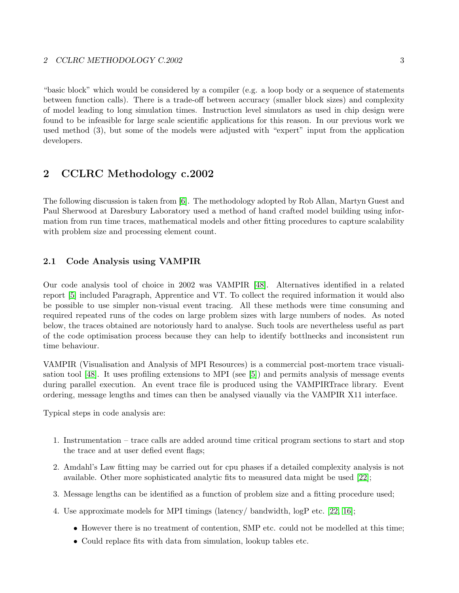"basic block" which would be considered by a compiler (e.g. a loop body or a sequence of statements between function calls). There is a trade-off between accuracy (smaller block sizes) and complexity of model leading to long simulation times. Instruction level simulators as used in chip design were found to be infeasible for large scale scientific applications for this reason. In our previous work we used method (3), but some of the models were adjusted with "expert" input from the application developers.

# <span id="page-5-0"></span>2 CCLRC Methodology c.2002

The following discussion is taken from [\[6\]](#page-20-1). The methodology adopted by Rob Allan, Martyn Guest and Paul Sherwood at Daresbury Laboratory used a method of hand crafted model building using information from run time traces, mathematical models and other fitting procedures to capture scalability with problem size and processing element count.

### <span id="page-5-1"></span>2.1 Code Analysis using VAMPIR

Our code analysis tool of choice in 2002 was VAMPIR [\[48\]](#page-23-2). Alternatives identified in a related report [\[5\]](#page-20-4) included Paragraph, Apprentice and VT. To collect the required information it would also be possible to use simpler non-visual event tracing. All these methods were time consuming and required repeated runs of the codes on large problem sizes with large numbers of nodes. As noted below, the traces obtained are notoriously hard to analyse. Such tools are nevertheless useful as part of the code optimisation process because they can help to identify bottlnecks and inconsistent run time behaviour.

VAMPIR (Visualisation and Analysis of MPI Resources) is a commercial post-mortem trace visualisation tool [\[48\]](#page-23-2). It uses profiling extensions to MPI (see [\[5\]](#page-20-4)) and permits analysis of message events during parallel execution. An event trace file is produced using the VAMPIRTrace library. Event ordering, message lengths and times can then be analysed viaually via the VAMPIR X11 interface.

Typical steps in code analysis are:

- 1. Instrumentation trace calls are added around time critical program sections to start and stop the trace and at user defied event flags;
- 2. Amdahl's Law fitting may be carried out for cpu phases if a detailed complexity analysis is not available. Other more sophisticated analytic fits to measured data might be used [\[22\]](#page-21-5);
- 3. Message lengths can be identified as a function of problem size and a fitting procedure used;
- 4. Use approximate models for MPI timings (latency/ bandwidth, logP etc. [\[22,](#page-21-5) [16\]](#page-21-1);
	- However there is no treatment of contention, SMP etc. could not be modelled at this time;
	- Could replace fits with data from simulation, lookup tables etc.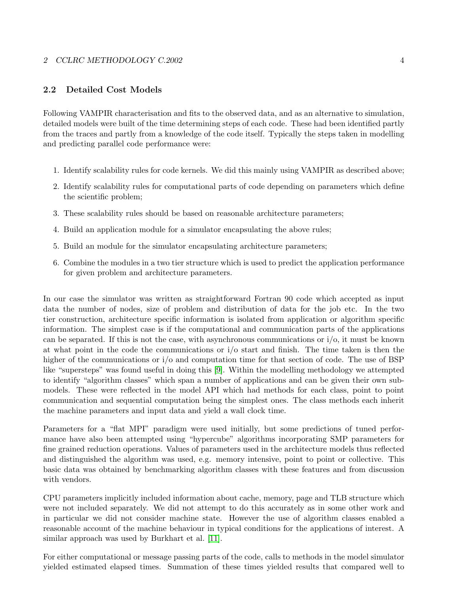#### 2 CCLRC METHODOLOGY C.2002 4

### <span id="page-6-0"></span>2.2 Detailed Cost Models

Following VAMPIR characterisation and fits to the observed data, and as an alternative to simulation, detailed models were built of the time determining steps of each code. These had been identified partly from the traces and partly from a knowledge of the code itself. Typically the steps taken in modelling and predicting parallel code performance were:

- 1. Identify scalability rules for code kernels. We did this mainly using VAMPIR as described above;
- 2. Identify scalability rules for computational parts of code depending on parameters which define the scientific problem;
- 3. These scalability rules should be based on reasonable architecture parameters;
- 4. Build an application module for a simulator encapsulating the above rules;
- 5. Build an module for the simulator encapsulating architecture parameters;
- 6. Combine the modules in a two tier structure which is used to predict the application performance for given problem and architecture parameters.

In our case the simulator was written as straightforward Fortran 90 code which accepted as input data the number of nodes, size of problem and distribution of data for the job etc. In the two tier construction, architecture specific information is isolated from application or algorithm specific information. The simplest case is if the computational and communication parts of the applications can be separated. If this is not the case, with asynchronous communications or  $i/\infty$ , it must be known at what point in the code the communications or i/o start and finish. The time taken is then the higher of the communications or  $i/\sigma$  and computation time for that section of code. The use of BSP like "supersteps" was found useful in doing this [\[9\]](#page-21-6). Within the modelling methodology we attempted to identify "algorithm classes" which span a number of applications and can be given their own submodels. These were reflected in the model API which had methods for each class, point to point communication and sequential computation being the simplest ones. The class methods each inherit the machine parameters and input data and yield a wall clock time.

Parameters for a "flat MPI" paradigm were used initially, but some predictions of tuned performance have also been attempted using "hypercube" algorithms incorporating SMP parameters for fine grained reduction operations. Values of parameters used in the architecture models thus reflected and distinguished the algorithm was used, e.g. memory intensive, point to point or collective. This basic data was obtained by benchmarking algorithm classes with these features and from discussion with vendors.

CPU parameters implicitly included information about cache, memory, page and TLB structure which were not included separately. We did not attempt to do this accurately as in some other work and in particular we did not consider machine state. However the use of algorithm classes enabled a reasonable account of the machine behaviour in typical conditions for the applications of interest. A similar approach was used by Burkhart et al. [\[11\]](#page-21-7).

For either computational or message passing parts of the code, calls to methods in the model simulator yielded estimated elapsed times. Summation of these times yielded results that compared well to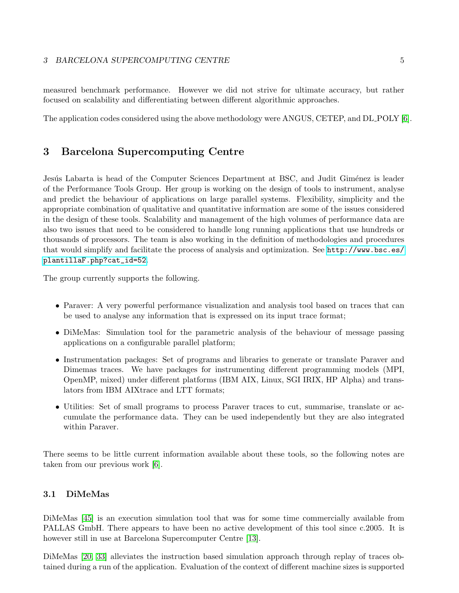#### 3 BARCELONA SUPERCOMPUTING CENTRE 5

measured benchmark performance. However we did not strive for ultimate accuracy, but rather focused on scalability and differentiating between different algorithmic approaches.

The application codes considered using the above methodology were ANGUS, CETEP, and DL POLY [\[6\]](#page-20-1).

# <span id="page-7-0"></span>3 Barcelona Supercomputing Centre

Jesús Labarta is head of the Computer Sciences Department at BSC, and Judit Giménez is leader of the Performance Tools Group. Her group is working on the design of tools to instrument, analyse and predict the behaviour of applications on large parallel systems. Flexibility, simplicity and the appropriate combination of qualitative and quantitative information are some of the issues considered in the design of these tools. Scalability and management of the high volumes of performance data are also two issues that need to be considered to handle long running applications that use hundreds or thousands of processors. The team is also working in the definition of methodologies and procedures that would simplify and facilitate the process of analysis and optimization. See [http://www.bsc.es/](http://www.bsc.es/plantillaF.php?cat_id=52) [plantillaF.php?cat\\_id=52](http://www.bsc.es/plantillaF.php?cat_id=52).

The group currently supports the following.

- Paraver: A very powerful performance visualization and analysis tool based on traces that can be used to analyse any information that is expressed on its input trace format;
- DiMeMas: Simulation tool for the parametric analysis of the behaviour of message passing applications on a configurable parallel platform;
- Instrumentation packages: Set of programs and libraries to generate or translate Paraver and Dimemas traces. We have packages for instrumenting different programming models (MPI, OpenMP, mixed) under different platforms (IBM AIX, Linux, SGI IRIX, HP Alpha) and translators from IBM AIXtrace and LTT formats;
- Utilities: Set of small programs to process Paraver traces to cut, summarise, translate or accumulate the performance data. They can be used independently but they are also integrated within Paraver.

There seems to be little current information available about these tools, so the following notes are taken from our previous work [\[6\]](#page-20-1).

### <span id="page-7-1"></span>3.1 DiMeMas

DiMeMas [\[45\]](#page-23-3) is an execution simulation tool that was for some time commercially available from PALLAS GmbH. There appears to have been no active development of this tool since c.2005. It is however still in use at Barcelona Supercomputer Centre [\[13\]](#page-21-8).

DiMeMas [\[20,](#page-21-3) [33\]](#page-22-4) alleviates the instruction based simulation approach through replay of traces obtained during a run of the application. Evaluation of the context of different machine sizes is supported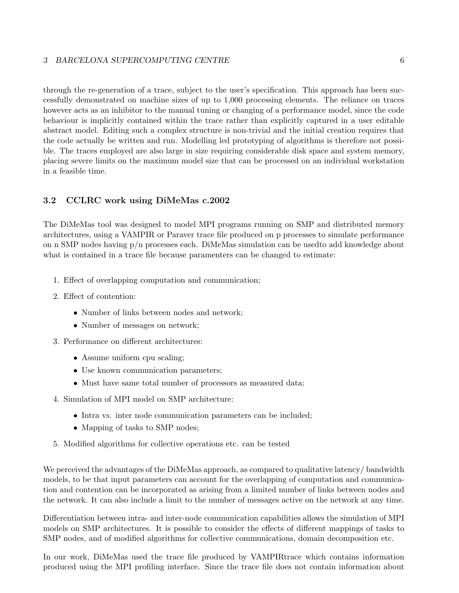#### 3 BARCELONA SUPERCOMPUTING CENTRE 6

through the re-generation of a trace, subject to the user's specification. This approach has been successfully demonstrated on machine sizes of up to 1,000 processing elements. The reliance on traces however acts as an inhibitor to the manual tuning or changing of a performance model, since the code behaviour is implicitly contained within the trace rather than explicitly captured in a user editable abstract model. Editing such a complex structure is non-trivial and the initial creation requires that the code actually be written and run. Modelling led prototyping of algorithms is therefore not possible. The traces employed are also large in size requiring considerable disk space and system memory, placing severe limits on the maximum model size that can be processed on an individual workstation in a feasible time.

#### <span id="page-8-0"></span>3.2 CCLRC work using DiMeMas c.2002

The DiMeMas tool was designed to model MPI programs running on SMP and distributed memory architectures, using a VAMPIR or Paraver trace file produced on p processes to simulate performance on n SMP nodes having p/n processes each. DiMeMas simulation can be usedto add knowledge about what is contained in a trace file because paramenters can be changed to estimate:

- 1. Effect of overlapping computation and communication;
- 2. Effect of contention:
	- Number of links between nodes and network;
	- Number of messages on network;
- 3. Performance on different architectures:
	- Assume uniform cpu scaling;
	- Use known communication parameters;
	- Must have same total number of processors as measured data;
- 4. Simulation of MPI model on SMP architecture:
	- Intra vs. inter node communication parameters can be included;
	- Mapping of tasks to SMP nodes;
- 5. Modified algorithms for collective operations etc. can be tested

We perceived the advantages of the DiMeMas approach, as compared to qualitative latency/ bandwidth models, to be that input parameters can account for the overlapping of computation and communication and contention can be incorporated as arising from a limited number of links between nodes and the network. It can also include a limit to the number of messages active on the network at any time.

Differentiation between intra- and inter-node communication capabilities allows the simulation of MPI models on SMP architectures. It is possible to consider the effects of different mappings of tasks to SMP nodes, and of modified algorithms for collective communications, domain decomposition etc.

In our work, DiMeMas used the trace file produced by VAMPIRtrace which contains information produced using the MPI profiling interface. Since the trace file does not contain information about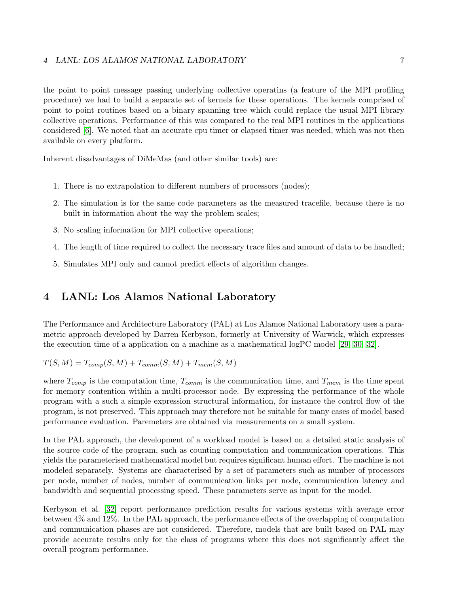#### 4 LANL: LOS ALAMOS NATIONAL LABORATORY 7

the point to point message passing underlying collective operatins (a feature of the MPI profiling procedure) we had to build a separate set of kernels for these operations. The kernels comprised of point to point routines based on a binary spanning tree which could replace the usual MPI library collective operations. Performance of this was compared to the real MPI routines in the applications considered [\[6\]](#page-20-1). We noted that an accurate cpu timer or elapsed timer was needed, which was not then available on every platform.

Inherent disadvantages of DiMeMas (and other similar tools) are:

- 1. There is no extrapolation to different numbers of processors (nodes);
- 2. The simulation is for the same code parameters as the measured tracefile, because there is no built in information about the way the problem scales;
- 3. No scaling information for MPI collective operations;
- 4. The length of time required to collect the necessary trace files and amount of data to be handled;
- 5. Simulates MPI only and cannot predict effects of algorithm changes.

## <span id="page-9-0"></span>4 LANL: Los Alamos National Laboratory

The Performance and Architecture Laboratory (PAL) at Los Alamos National Laboratory uses a parametric approach developed by Darren Kerbyson, formerly at University of Warwick, which expresses the execution time of a application on a machine as a mathematical logPC model [\[29,](#page-22-2) [30,](#page-22-6) [32\]](#page-22-7).

 $T(S, M) = T_{comm}(S, M) + T_{comm}(S, M) + T_{mem}(S, M)$ 

where  $T_{comp}$  is the computation time,  $T_{comm}$  is the communication time, and  $T_{mem}$  is the time spent for memory contention within a multi-processor node. By expressing the performance of the whole program with a such a simple expression structural information, for instance the control flow of the program, is not preserved. This approach may therefore not be suitable for many cases of model based performance evaluation. Paremeters are obtained via measurements on a small system.

In the PAL approach, the development of a workload model is based on a detailed static analysis of the source code of the program, such as counting computation and communication operations. This yields the parameterised mathematical model but requires significant human effort. The machine is not modeled separately. Systems are characterised by a set of parameters such as number of processors per node, number of nodes, number of communication links per node, communication latency and bandwidth and sequential processing speed. These parameters serve as input for the model.

Kerbyson et al. [\[32\]](#page-22-7) report performance prediction results for various systems with average error between 4% and 12%. In the PAL approach, the performance effects of the overlapping of computation and communication phases are not considered. Therefore, models that are built based on PAL may provide accurate results only for the class of programs where this does not significantly affect the overall program performance.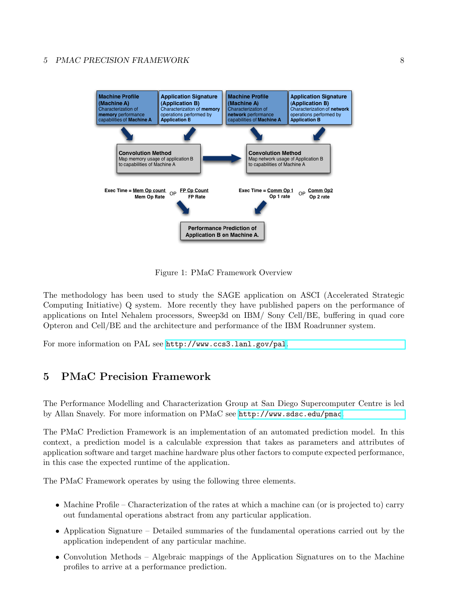### 5 PMAC PRECISION FRAMEWORK 8



Figure 1: PMaC Framework Overview

The methodology has been used to study the SAGE application on ASCI (Accelerated Strategic Computing Initiative) Q system. More recently they have published papers on the performance of applications on Intel Nehalem processors, Sweep3d on IBM/ Sony Cell/BE, buffering in quad core Opteron and Cell/BE and the architecture and performance of the IBM Roadrunner system.

For more information on PAL see <http://www.ccs3.lanl.gov/pal>[.](http://www.ccs3.lanl.gov/pal)

# <span id="page-10-0"></span>5 PMaC Precision Framework

The Performance Modelling and Characterization Group at San Diego Supercomputer Centre is led by Allan Snavely. For more information on PMaC see <http://www.sdsc.edu/pmac>.

The PMaC Prediction Framework is an implementation of an automated prediction model. In this context, a prediction model is a calculable expression that takes as parameters and attributes of application software and target machine hardware plus other factors to compute expected performance, in this case the expected runtime of the application.

The PMaC Framework operates by using the following three elements.

- Machine Profile Characterization of the rates at which a machine can (or is projected to) carry out fundamental operations abstract from any particular application.
- Application Signature Detailed summaries of the fundamental operations carried out by the application independent of any particular machine.
- Convolution Methods Algebraic mappings of the Application Signatures on to the Machine profiles to arrive at a performance prediction.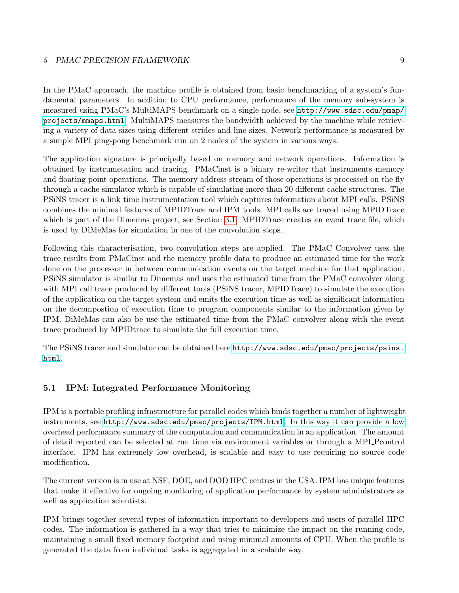#### 5 PMAC PRECISION FRAMEWORK 9

In the PMaC approach, the machine profile is obtained from basic benchmarking of a system's fundamental parameters. In addition to CPU performance, performance of the memory sub-system is measured using PMaC's MultiMAPS benchmark on a single node, see [http://www.sdsc.edu/pmap/](http://www.sdsc.edu/pmap/projects/mmaps.html) [projects/mmaps.html](http://www.sdsc.edu/pmap/projects/mmaps.html). MultiMAPS measures the bandwidth achieved by the machine while retrieving a variety of data sizes using different strides and line sizes. Network performance is measured by a simple MPI ping-pong benchmark run on 2 nodes of the system in various ways.

The application signature is principally based on memory and network operations. Information is obtained by instrumetation and tracing. PMaCinst is a binary re-writer that instruments memory and floating point operations. The memory address stream of those operations is processed on the fly through a cache simulator which is capable of simulating more than 20 different cache structures. The PSiNS tracer is a link time instrumentation tool which captures information about MPI calls. PSiNS combines the minimal features of MPIDTrace and IPM tools. MPI calls are traced using MPIDTrace which is part of the Dimemas project, see Section [3.1.](#page-7-1) MPIDTrace creates an event trace file, which is used by DiMeMas for simulation in one of the convolution steps.

Following this characterisation, two convolution steps are applied. The PMaC Convolver uses the trace results from PMaCinst and the memory profile data to produce an estimated time for the work done on the processor in between communication events on the target machine for that application. PSiNS simulator is similar to Dimemas and uses the estimated time from the PMaC convolver along with MPI call trace produced by different tools (PSiNS tracer, MPIDTrace) to simulate the execution of the application on the target system and emits the execution time as well as significant information on the decompostion of execution time to program components similar to the information given by IPM. DiMeMas can also be use the estimated time from the PMaC convolver along with the event trace produced by MPIDtrace to simulate the full execution time.

The PSiNS tracer and simulator can be obtained here [http://www.sdsc.edu/pmac/projects/psins.](http://www.sdsc.edu/pmac/projects/psins.html) [html](http://www.sdsc.edu/pmac/projects/psins.html).

### <span id="page-11-0"></span>5.1 IPM: Integrated Performance Monitoring

IPM is a portable profiling infrastructure for parallel codes which binds together a number of lightweight instruments, see <http://www.sdsc.edu/pmac/projects/IPM.html>[.](http://www.sdsc.edu/pmac/projects/IPM.html) In this way it can provide a low overhead performance summary of the computation and communication in an application. The amount of detail reported can be selected at run time via environment variables or through a MPI Pcontrol interface. IPM has extremely low overhead, is scalable and easy to use requiring no source code modification.

The current version is in use at NSF, DOE, and DOD HPC centres in the USA. IPM has unique features that make it effective for ongoing monitoring of application performance by system administrators as well as application scientists.

IPM brings together several types of information important to developers and users of parallel HPC codes. The information is gathered in a way that tries to minimize the impact on the running code, maintaining a small fixed memory footprint and using minimal amounts of CPU. When the profile is generated the data from individual tasks is aggregated in a scalable way.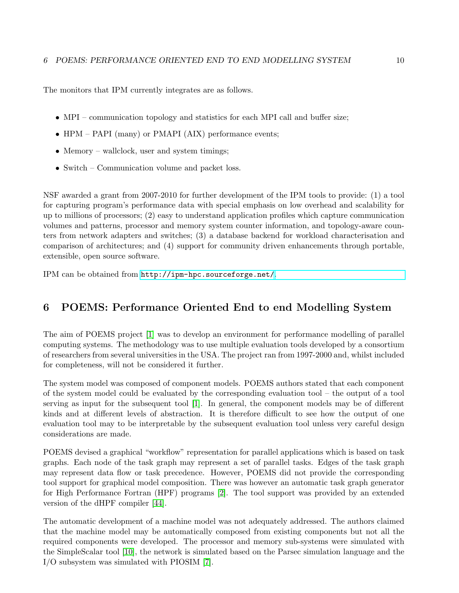The monitors that IPM currently integrates are as follows.

- MPI communication topology and statistics for each MPI call and buffer size;
- HPM PAPI (many) or PMAPI (AIX) performance events;
- Memory wallclock, user and system timings;
- Switch Communication volume and packet loss.

NSF awarded a grant from 2007-2010 for further development of the IPM tools to provide: (1) a tool for capturing program's performance data with special emphasis on low overhead and scalability for up to millions of processors; (2) easy to understand application profiles which capture communication volumes and patterns, processor and memory system counter information, and topology-aware counters from network adapters and switches; (3) a database backend for workload characterisation and comparison of architectures; and (4) support for community driven enhancements through portable, extensible, open source software.

IPM can be obtained from <http://ipm-hpc.sourceforge.net/>.

# <span id="page-12-0"></span>6 POEMS: Performance Oriented End to end Modelling System

The aim of POEMS project [\[1\]](#page-20-3) was to develop an environment for performance modelling of parallel computing systems. The methodology was to use multiple evaluation tools developed by a consortium of researchers from several universities in the USA. The project ran from 1997-2000 and, whilst included for completeness, will not be considered it further.

The system model was composed of component models. POEMS authors stated that each component of the system model could be evaluated by the corresponding evaluation tool – the output of a tool serving as input for the subsequent tool [\[1\]](#page-20-3). In general, the component models may be of different kinds and at different levels of abstraction. It is therefore difficult to see how the output of one evaluation tool may to be interpretable by the subsequent evaluation tool unless very careful design considerations are made.

POEMS devised a graphical "workflow" representation for parallel applications which is based on task graphs. Each node of the task graph may represent a set of parallel tasks. Edges of the task graph may represent data flow or task precedence. However, POEMS did not provide the corresponding tool support for graphical model composition. There was however an automatic task graph generator for High Performance Fortran (HPF) programs [\[2\]](#page-20-5). The tool support was provided by an extended version of the dHPF compiler [\[44\]](#page-23-4).

The automatic development of a machine model was not adequately addressed. The authors claimed that the machine model may be automatically composed from existing components but not all the required components were developed. The processor and memory sub-systems were simulated with the SimpleScalar tool [\[10\]](#page-21-9), the network is simulated based on the Parsec simulation language and the I/O subsystem was simulated with PIOSIM [\[7\]](#page-20-6).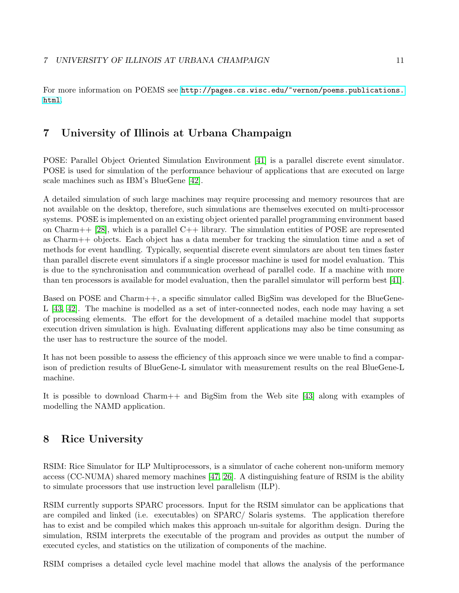For more information on POEMS see [http://pages.cs.wisc.edu/~vernon/poems.publications.](http://pages.cs.wisc.edu/~vernon/poems.publications.html) [html](http://pages.cs.wisc.edu/~vernon/poems.publications.html).

# <span id="page-13-0"></span>7 University of Illinois at Urbana Champaign

POSE: Parallel Object Oriented Simulation Environment [\[41\]](#page-23-0) is a parallel discrete event simulator. POSE is used for simulation of the performance behaviour of applications that are executed on large scale machines such as IBM's BlueGene [\[42\]](#page-23-1).

A detailed simulation of such large machines may require processing and memory resources that are not available on the desktop, therefore, such simulations are themselves executed on multi-processor systems. POSE is implemented on an existing object oriented parallel programming environment based on Charm++  $[28]$ , which is a parallel C++ library. The simulation entities of POSE are represented as Charm++ objects. Each object has a data member for tracking the simulation time and a set of methods for event handling. Typically, sequential discrete event simulators are about ten times faster than parallel discrete event simulators if a single processor machine is used for model evaluation. This is due to the synchronisation and communication overhead of parallel code. If a machine with more than ten processors is available for model evaluation, then the parallel simulator will perform best [\[41\]](#page-23-0).

Based on POSE and Charm++, a specific simulator called BigSim was developed for the BlueGene-L [\[43,](#page-23-5) [42\]](#page-23-1). The machine is modelled as a set of inter-connected nodes, each node may having a set of processing elements. The effort for the development of a detailed machine model that supports execution driven simulation is high. Evaluating different applications may also be time consuming as the user has to restructure the source of the model.

It has not been possible to assess the efficiency of this approach since we were unable to find a comparison of prediction results of BlueGene-L simulator with measurement results on the real BlueGene-L machine.

It is possible to download Charm++ and BigSim from the Web site [\[43\]](#page-23-5) along with examples of modelling the NAMD application.

# <span id="page-13-1"></span>8 Rice University

RSIM: Rice Simulator for ILP Multiprocessors, is a simulator of cache coherent non-uniform memory access (CC-NUMA) shared memory machines [\[47,](#page-23-6) [26\]](#page-22-9). A distinguishing feature of RSIM is the ability to simulate processors that use instruction level parallelism (ILP).

RSIM currently supports SPARC processors. Input for the RSIM simulator can be applications that are compiled and linked (i.e. executables) on SPARC/ Solaris systems. The application therefore has to exist and be compiled which makes this approach un-suitale for algorithm design. During the simulation, RSIM interprets the executable of the program and provides as output the number of executed cycles, and statistics on the utilization of components of the machine.

RSIM comprises a detailed cycle level machine model that allows the analysis of the performance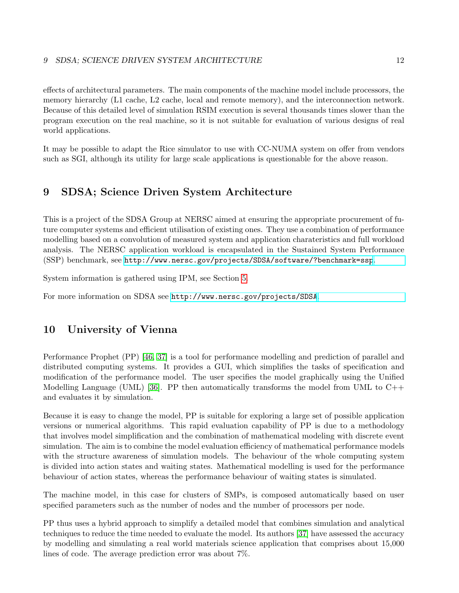effects of architectural parameters. The main components of the machine model include processors, the memory hierarchy (L1 cache, L2 cache, local and remote memory), and the interconnection network. Because of this detailed level of simulation RSIM execution is several thousands times slower than the program execution on the real machine, so it is not suitable for evaluation of various designs of real world applications.

It may be possible to adapt the Rice simulator to use with CC-NUMA system on offer from vendors such as SGI, although its utility for large scale applications is questionable for the above reason.

## <span id="page-14-0"></span>9 SDSA; Science Driven System Architecture

This is a project of the SDSA Group at NERSC aimed at ensuring the appropriate procurement of future computer systems and efficient utilisation of existing ones. They use a combination of performance modelling based on a convolution of measured system and application charateristics and full workload analysis. The NERSC application workload is encapsulated in the Sustained System Performance (SSP) benchmark, see <http://www.nersc.gov/projects/SDSA/software/?benchmark=ssp>.

System information is gathered using IPM, see Section [5.](#page-10-0)

For more information on SDSA see <http://www.nersc.gov/projects/SDSA>.

### <span id="page-14-1"></span>10 University of Vienna

Performance Prophet (PP) [\[46,](#page-23-7) [37\]](#page-22-5) is a tool for performance modelling and prediction of parallel and distributed computing systems. It provides a GUI, which simplifies the tasks of specification and modification of the performance model. The user specifies the model graphically using the Unified Modelling Language (UML) [\[36\]](#page-22-10). PP then automatically transforms the model from UML to  $C++$ and evaluates it by simulation.

Because it is easy to change the model, PP is suitable for exploring a large set of possible application versions or numerical algorithms. This rapid evaluation capability of PP is due to a methodology that involves model simplification and the combination of mathematical modeling with discrete event simulation. The aim is to combine the model evaluation efficiency of mathematical performance models with the structure awareness of simulation models. The behaviour of the whole computing system is divided into action states and waiting states. Mathematical modelling is used for the performance behaviour of action states, whereas the performance behaviour of waiting states is simulated.

The machine model, in this case for clusters of SMPs, is composed automatically based on user specified parameters such as the number of nodes and the number of processors per node.

PP thus uses a hybrid approach to simplify a detailed model that combines simulation and analytical techniques to reduce the time needed to evaluate the model. Its authors [\[37\]](#page-22-5) have assessed the accuracy by modelling and simulating a real world materials science application that comprises about 15,000 lines of code. The average prediction error was about 7%.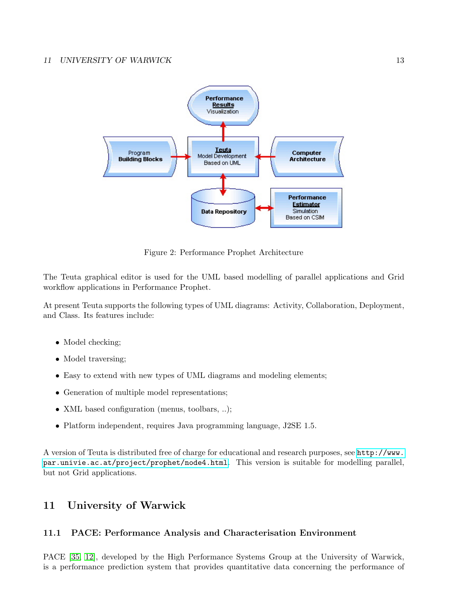

Figure 2: Performance Prophet Architecture

The Teuta graphical editor is used for the UML based modelling of parallel applications and Grid workflow applications in Performance Prophet.

At present Teuta supports the following types of UML diagrams: Activity, Collaboration, Deployment, and Class. Its features include:

- Model checking;
- Model traversing;
- Easy to extend with new types of UML diagrams and modeling elements;
- Generation of multiple model representations;
- XML based configuration (menus, toolbars, ..);
- Platform independent, requires Java programming language, J2SE 1.5.

A version of Teuta is distributed free of charge for educational and research purposes, see [http://www.](http://www.par.univie.ac.at/project/prophet/node4.html) [par.univie.ac.at/project/prophet/node4.html](http://www.par.univie.ac.at/project/prophet/node4.html). This version is suitable for modelling parallel, but not Grid applications.

# <span id="page-15-0"></span>11 University of Warwick

### <span id="page-15-1"></span>11.1 PACE: Performance Analysis and Characterisation Environment

PACE [\[35,](#page-22-3) [12\]](#page-21-2), developed by the High Performance Systems Group at the University of Warwick, is a performance prediction system that provides quantitative data concerning the performance of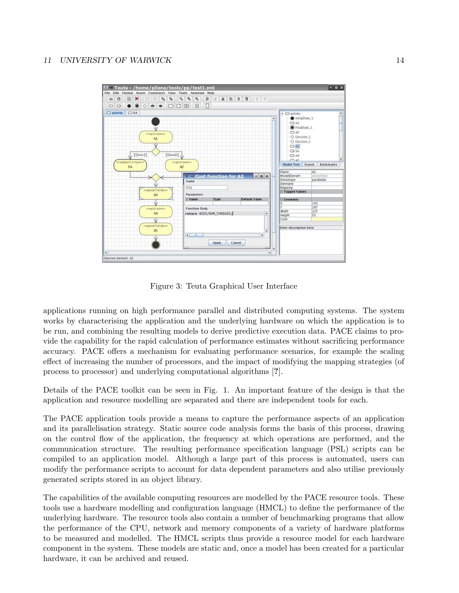

Figure 3: Teuta Graphical User Interface

applications running on high performance parallel and distributed computing systems. The system works by characterising the application and the underlying hardware on which the application is to be run, and combining the resulting models to derive predictive execution data. PACE claims to provide the capability for the rapid calculation of performance estimates without sacrificing performance accuracy. PACE offers a mechanism for evaluating performance scenarios, for example the scaling effect of increasing the number of processors, and the impact of modifying the mapping strategies (of process to processor) and underlying computational algorithms [?].

Details of the PACE toolkit can be seen in Fig. 1. An important feature of the design is that the application and resource modelling are separated and there are independent tools for each.

The PACE application tools provide a means to capture the performance aspects of an application and its parallelisation strategy. Static source code analysis forms the basis of this process, drawing on the control flow of the application, the frequency at which operations are performed, and the communication structure. The resulting performance specification language (PSL) scripts can be compiled to an application model. Although a large part of this process is automated, users can modify the performance scripts to account for data dependent parameters and also utilise previously generated scripts stored in an object library.

The capabilities of the available computing resources are modelled by the PACE resource tools. These tools use a hardware modelling and configuration language (HMCL) to define the performance of the underlying hardware. The resource tools also contain a number of benchmarking programs that allow the performance of the CPU, network and memory components of a variety of hardware platforms to be measured and modelled. The HMCL scripts thus provide a resource model for each hardware component in the system. These models are static and, once a model has been created for a particular hardware, it can be archived and reused.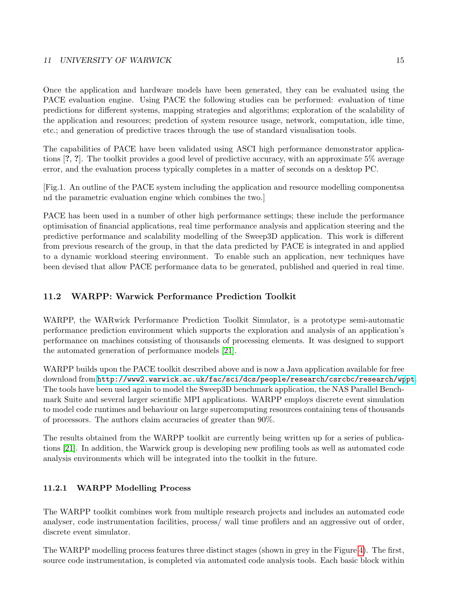Once the application and hardware models have been generated, they can be evaluated using the PACE evaluation engine. Using PACE the following studies can be performed: evaluation of time predictions for different systems, mapping strategies and algorithms; exploration of the scalability of the application and resources; predction of system resource usage, network, computation, idle time, etc.; and generation of predictive traces through the use of standard visualisation tools.

The capabilities of PACE have been validated using ASCI high performance demonstrator applications [?, ?]. The toolkit provides a good level of predictive accuracy, with an approximate 5% average error, and the evaluation process typically completes in a matter of seconds on a desktop PC.

[Fig.1. An outline of the PACE system including the application and resource modelling componentsa nd the parametric evaluation engine which combines the two.]

PACE has been used in a number of other high performance settings; these include the performance optimisation of financial applications, real time performance analysis and application steering and the predictive performance and scalability modelling of the Sweep3D application. This work is different from previous research of the group, in that the data predicted by PACE is integrated in and applied to a dynamic workload steering environment. To enable such an application, new techniques have been devised that allow PACE performance data to be generated, published and queried in real time.

### <span id="page-17-0"></span>11.2 WARPP: Warwick Performance Prediction Toolkit

WARPP, the WARwick Performance Prediction Toolkit Simulator, is a prototype semi-automatic performance prediction environment which supports the exploration and analysis of an application's performance on machines consisting of thousands of processing elements. It was designed to support the automated generation of performance models [\[21\]](#page-21-4).

WARPP builds upon the PACE toolkit described above and is now a Java application available for free download from <http://www2.warwick.ac.uk/fac/sci/dcs/people/research/csrcbc/research/wppt>[.](http://www2.warwick.ac.uk/fac/sci/dcs/people/research/csrcbc/research/wppt) The tools have been used again to model the Sweep3D benchmark application, the NAS Parallel Benchmark Suite and several larger scientific MPI applications. WARPP employs discrete event simulation to model code runtimes and behaviour on large supercomputing resources containing tens of thousands of processors. The authors claim accuracies of greater than 90%.

The results obtained from the WARPP toolkit are currently being written up for a series of publications [\[21\]](#page-21-4). In addition, the Warwick group is developing new profiling tools as well as automated code analysis environments which will be integrated into the toolkit in the future.

#### <span id="page-17-1"></span>11.2.1 WARPP Modelling Process

The WARPP toolkit combines work from multiple research projects and includes an automated code analyser, code instrumentation facilities, process/ wall time profilers and an aggressive out of order, discrete event simulator.

The WARPP modelling process features three distinct stages (shown in grey in the Figure [4\)](#page-18-1). The first, source code instrumentation, is completed via automated code analysis tools. Each basic block within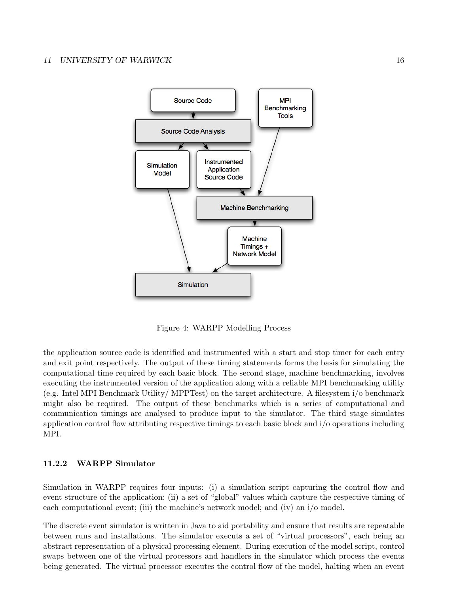

<span id="page-18-1"></span>Figure 4: WARPP Modelling Process

the application source code is identified and instrumented with a start and stop timer for each entry and exit point respectively. The output of these timing statements forms the basis for simulating the computational time required by each basic block. The second stage, machine benchmarking, involves executing the instrumented version of the application along with a reliable MPI benchmarking utility (e.g. Intel MPI Benchmark Utility/ MPPTest) on the target architecture. A filesystem i/o benchmark might also be required. The output of these benchmarks which is a series of computational and communication timings are analysed to produce input to the simulator. The third stage simulates application control flow attributing respective timings to each basic block and i/o operations including MPI.

#### <span id="page-18-0"></span>11.2.2 WARPP Simulator

Simulation in WARPP requires four inputs: (i) a simulation script capturing the control flow and event structure of the application; (ii) a set of "global" values which capture the respective timing of each computational event; (iii) the machine's network model; and (iv) an i/o model.

The discrete event simulator is written in Java to aid portability and ensure that results are repeatable between runs and installations. The simulator executs a set of "virtual processors", each being an abstract representation of a physical processing element. During execution of the model script, control swaps between one of the virtual processors and handlers in the simulator which process the events being generated. The virtual processor executes the control flow of the model, halting when an event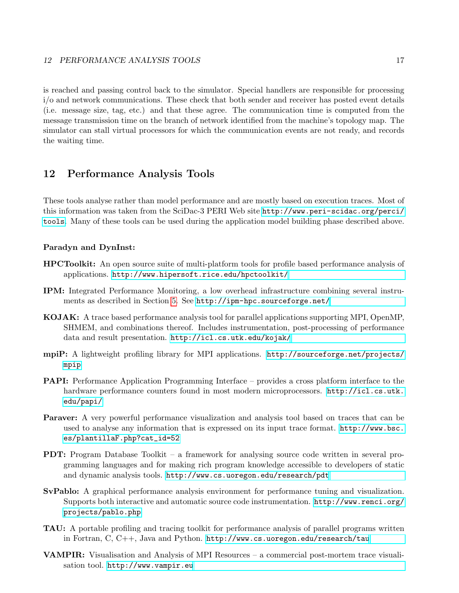is reached and passing control back to the simulator. Special handlers are responsible for processing i/o and network communications. These check that both sender and receiver has posted event details (i.e. message size, tag, etc.) and that these agree. The communication time is computed from the message transmission time on the branch of network identified from the machine's topology map. The simulator can stall virtual processors for which the communication events are not ready, and records the waiting time.

# <span id="page-19-0"></span>12 Performance Analysis Tools

These tools analyse rather than model performance and are mostly based on execution traces. Most of this information was taken from the SciDac-3 PERI Web site [http://www.peri-scidac.org/perci/](http://www.peri-scidac.org/perci/tools) [tools](http://www.peri-scidac.org/perci/tools). Many of these tools can be used during the application model building phase described above.

#### Paradyn and DynInst:

- HPCToolkit: An open source suite of multi-platform tools for profile based performance analysis of applications. <http://www.hipersoft.rice.edu/hpctoolkit/>
- IPM: Integrated Performance Monitoring, a low overhead infrastructure combining several instruments as described in Section [5.](#page-10-0) See <http://ipm-hpc.sourceforge.net/>
- KOJAK: A trace based performance analysis tool for parallel applications supporting MPI, OpenMP, SHMEM, and combinations thereof. Includes instrumentation, post-processing of performance data and result presentation. <http://icl.cs.utk.edu/kojak/>
- mpiP: A lightweight profiling library for MPI applications. [http://sourceforge.net/projects/](http://sourceforge.net/projects/mpip) [mpip](http://sourceforge.net/projects/mpip)
- PAPI: Performance Application Programming Interface provides a cross platform interface to the hardware performance counters found in most modern microprocessors. [http://icl.cs.utk.](http://icl.cs.utk.edu/papi/) [edu/papi/](http://icl.cs.utk.edu/papi/)
- Paraver: A very powerful performance visualization and analysis tool based on traces that can be used to analyse any information that is expressed on its input trace format. [http://www.bsc.](http://www.bsc.es/plantillaF.php?cat_id=52) [es/plantillaF.php?cat\\_id=52](http://www.bsc.es/plantillaF.php?cat_id=52)
- **PDT:** Program Database Toolkit a framework for analysing source code written in several programming languages and for making rich program knowledge accessible to developers of static and dynamic analysis tools. <http://www.cs.uoregon.edu/research/pdt>
- SvPablo: A graphical performance analysis environment for performance tuning and visualization. Supports both interactive and automatic source code instrumentation. [http://www.renci.org/](http://www.renci.org/projects/pablo.php) [projects/pablo.php](http://www.renci.org/projects/pablo.php)
- TAU: A portable profiling and tracing toolkit for performance analysis of parallel programs written in Fortran, C, C++, Java and Python. <http://www.cs.uoregon.edu/research/tau>
- VAMPIR: Visualisation and Analysis of MPI Resources a commercial post-mortem trace visualisation tool. <http://www.vampir.eu>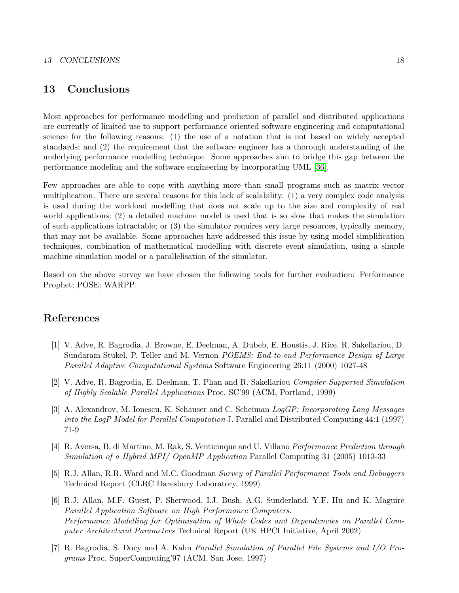## <span id="page-20-0"></span>13 Conclusions

Most approaches for performance modelling and prediction of parallel and distributed applications are currently of limited use to support performance oriented software engineering and computational science for the following reasons: (1) the use of a notation that is not based on widely accepted standards; and (2) the requirement that the software engineer has a thorough understanding of the underlying performance modelling technique. Some approaches aim to bridge this gap between the performance modeling and the software engineering by incorporating UML [\[36\]](#page-22-10).

Few approaches are able to cope with anything more than small programs such as matrix vector multiplication. There are several reasons for this lack of scalability: (1) a very complex code analysis is used during the workload modelling that does not scale up to the size and complexity of real world applications; (2) a detailed machine model is used that is so slow that makes the simulation of such applications intractable; or (3) the simulator requires very large resources, typically memory, that may not be available. Some approaches have addressed this issue by using model simplification techniques, combination of mathematical modelling with discrete event simulation, using a simple machine simulation model or a parallelisation of the simulator.

Based on the above survey we have chosen the following tools for further evaluation: Performance Prophet; POSE; WARPP.

# References

- <span id="page-20-3"></span>[1] V. Adve, R. Bagrodia, J. Browne, E. Deelman, A. Dubeb, E. Houstis, J. Rice, R. Sakellariou, D. Sundaram-Stukel, P. Teller and M. Vernon POEMS: End-to-end Performance Design of Large Parallel Adaptive Computational Systems Software Engineering 26:11 (2000) 1027-48
- <span id="page-20-5"></span>[2] V. Adve, R. Bagrodia, E. Deelman, T. Phan and R. Sakellariou Compiler-Supported Simulation of Highly Scalable Parallel Applications Proc. SC'99 (ACM, Portland, 1999)
- <span id="page-20-2"></span>[3] A. Alexandrov, M. Ionescu, K. Schauser and C. Scheiman LogGP: Incorporating Long Messages into the LogP Model for Parallel Computation J. Parallel and Distributed Computing 44:1 (1997) 71-9
- [4] R. Aversa, B. di Martino, M. Rak, S. Venticinque and U. Villano Performance Prediction through Simulation of a Hybrid MPI/ OpenMP Application Parallel Computing 31 (2005) 1013-33
- <span id="page-20-4"></span>[5] R.J. Allan, R.R. Ward and M.C. Goodman Survey of Parallel Performance Tools and Debuggers Technical Report (CLRC Daresbury Laboratory, 1999)
- <span id="page-20-1"></span>[6] R.J. Allan, M.F. Guest, P. Sherwood, I.J. Bush, A.G. Sunderland, Y.F. Hu and K. Maguire Parallel Application Software on High Performance Computers. Performance Modelling for Optimisation of Whole Codes and Dependencies on Parallel Computer Architectural Parameters Technical Report (UK HPCI Initiative, April 2002)
- <span id="page-20-6"></span>[7] R. Bagrodia, S. Docy and A. Kahn Parallel Simulation of Parallel File Systems and I/O Programs Proc. SuperComputing'97 (ACM, San Jose, 1997)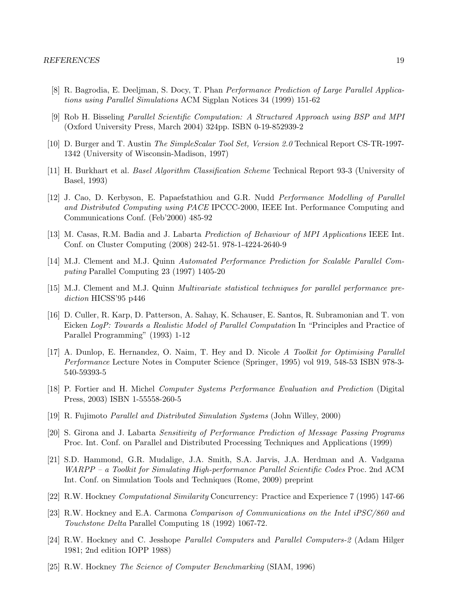- [8] R. Bagrodia, E. Deeljman, S. Docy, T. Phan Performance Prediction of Large Parallel Applications using Parallel Simulations ACM Sigplan Notices 34 (1999) 151-62
- <span id="page-21-6"></span>[9] Rob H. Bisseling Parallel Scientific Computation: A Structured Approach using BSP and MPI (Oxford University Press, March 2004) 324pp. ISBN 0-19-852939-2
- <span id="page-21-9"></span>[10] D. Burger and T. Austin The SimpleScalar Tool Set, Version 2.0 Technical Report CS-TR-1997- 1342 (University of Wisconsin-Madison, 1997)
- <span id="page-21-7"></span>[11] H. Burkhart et al. Basel Algorithm Classification Scheme Technical Report 93-3 (University of Basel, 1993)
- <span id="page-21-2"></span>[12] J. Cao, D. Kerbyson, E. Papaefstathiou and G.R. Nudd *Performance Modelling of Parallel* and Distributed Computing using PACE IPCCC-2000, IEEE Int. Performance Computing and Communications Conf. (Feb'2000) 485-92
- <span id="page-21-8"></span>[13] M. Casas, R.M. Badia and J. Labarta Prediction of Behaviour of MPI Applications IEEE Int. Conf. on Cluster Computing (2008) 242-51. 978-1-4224-2640-9
- [14] M.J. Clement and M.J. Quinn Automated Performance Prediction for Scalable Parallel Computing Parallel Computing 23 (1997) 1405-20
- [15] M.J. Clement and M.J. Quinn Multivariate statistical techniques for parallel performance prediction HICSS'95 p446
- <span id="page-21-1"></span>[16] D. Culler, R. Karp, D. Patterson, A. Sahay, K. Schauser, E. Santos, R. Subramonian and T. von Eicken LogP: Towards a Realistic Model of Parallel Computation In "Principles and Practice of Parallel Programming" (1993) 1-12
- [17] A. Dunlop, E. Hernandez, O. Naim, T. Hey and D. Nicole A Toolkit for Optimising Parallel Performance Lecture Notes in Computer Science (Springer, 1995) vol 919, 548-53 ISBN 978-3- 540-59393-5
- [18] P. Fortier and H. Michel Computer Systems Performance Evaluation and Prediction (Digital Press, 2003) ISBN 1-55558-260-5
- <span id="page-21-0"></span>[19] R. Fujimoto Parallel and Distributed Simulation Systems (John Willey, 2000)
- <span id="page-21-3"></span>[20] S. Girona and J. Labarta Sensitivity of Performance Prediction of Message Passing Programs Proc. Int. Conf. on Parallel and Distributed Processing Techniques and Applications (1999)
- <span id="page-21-4"></span>[21] S.D. Hammond, G.R. Mudalige, J.A. Smith, S.A. Jarvis, J.A. Herdman and A. Vadgama WARPP – a Toolkit for Simulating High-performance Parallel Scientific Codes Proc. 2nd ACM Int. Conf. on Simulation Tools and Techniques (Rome, 2009) preprint
- <span id="page-21-5"></span>[22] R.W. Hockney Computational Similarity Concurrency: Practice and Experience 7 (1995) 147-66
- [23] R.W. Hockney and E.A. Carmona Comparison of Communications on the Intel iPSC/860 and Touchstone Delta Parallel Computing 18 (1992) 1067-72.
- [24] R.W. Hockney and C. Jesshope Parallel Computers and Parallel Computers-2 (Adam Hilger 1981; 2nd edition IOPP 1988)
- [25] R.W. Hockney The Science of Computer Benchmarking (SIAM, 1996)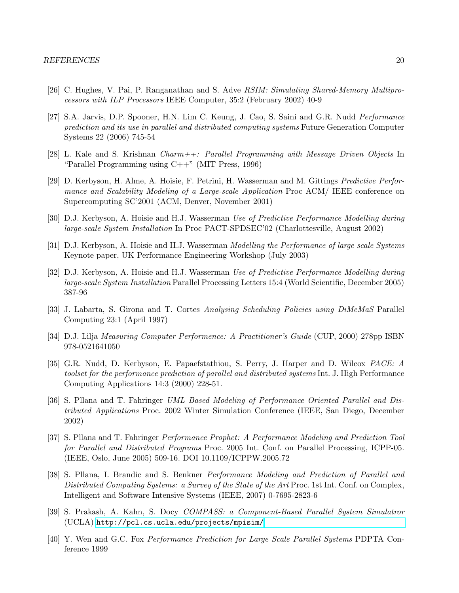- <span id="page-22-9"></span>[26] C. Hughes, V. Pai, P. Ranganathan and S. Adve RSIM: Simulating Shared-Memory Multiprocessors with ILP Processors IEEE Computer, 35:2 (February 2002) 40-9
- [27] S.A. Jarvis, D.P. Spooner, H.N. Lim C. Keung, J. Cao, S. Saini and G.R. Nudd Performance prediction and its use in parallel and distributed computing systems Future Generation Computer Systems 22 (2006) 745-54
- <span id="page-22-8"></span>[28] L. Kale and S. Krishnan Charm++: Parallel Programming with Message Driven Objects In "Parallel Programming using  $C++$ " (MIT Press, 1996)
- <span id="page-22-2"></span>[29] D. Kerbyson, H. Alme, A. Hoisie, F. Petrini, H. Wasserman and M. Gittings Predictive Performance and Scalability Modeling of a Large-scale Application Proc ACM/ IEEE conference on Supercomputing SC'2001 (ACM, Denver, November 2001)
- <span id="page-22-6"></span>[30] D.J. Kerbyson, A. Hoisie and H.J. Wasserman Use of Predictive Performance Modelling during large-scale System Installation In Proc PACT-SPDSEC'02 (Charlottesville, August 2002)
- <span id="page-22-0"></span>[31] D.J. Kerbyson, A. Hoisie and H.J. Wasserman Modelling the Performance of large scale Systems Keynote paper, UK Performance Engineering Workshop (July 2003)
- <span id="page-22-7"></span>[32] D.J. Kerbyson, A. Hoisie and H.J. Wasserman Use of Predictive Performance Modelling during large-scale System Installation Parallel Processing Letters 15:4 (World Scientific, December 2005) 387-96
- <span id="page-22-4"></span>[33] J. Labarta, S. Girona and T. Cortes Analysing Scheduling Policies using DiMeMaS Parallel Computing 23:1 (April 1997)
- [34] D.J. Lilja Measuring Computer Performence: A Practitioner's Guide (CUP, 2000) 278pp ISBN 978-0521641050
- <span id="page-22-3"></span>[35] G.R. Nudd, D. Kerbyson, E. Papaefstathiou, S. Perry, J. Harper and D. Wilcox PACE: A toolset for the performance prediction of parallel and distributed systems Int. J. High Performance Computing Applications 14:3 (2000) 228-51.
- <span id="page-22-10"></span>[36] S. Pllana and T. Fahringer UML Based Modeling of Performance Oriented Parallel and Distributed Applications Proc. 2002 Winter Simulation Conference (IEEE, San Diego, December 2002)
- <span id="page-22-5"></span>[37] S. Pllana and T. Fahringer Performance Prophet: A Performance Modeling and Prediction Tool for Parallel and Distributed Programs Proc. 2005 Int. Conf. on Parallel Processing, ICPP-05. (IEEE, Oslo, June 2005) 509-16. DOI 10.1109/ICPPW.2005.72
- <span id="page-22-1"></span>[38] S. Pllana, I. Brandic and S. Benkner Performance Modeling and Prediction of Parallel and Distributed Computing Systems: a Survey of the State of the Art Proc. 1st Int. Conf. on Complex, Intelligent and Software Intensive Systems (IEEE, 2007) 0-7695-2823-6
- [39] S. Prakash, A. Kahn, S. Docy COMPASS: a Component-Based Parallel System Simulatror (UCLA) <http://pcl.cs.ucla.edu/projects/mpisim/>
- [40] Y. Wen and G.C. Fox Performance Prediction for Large Scale Parallel Systems PDPTA Conference 1999